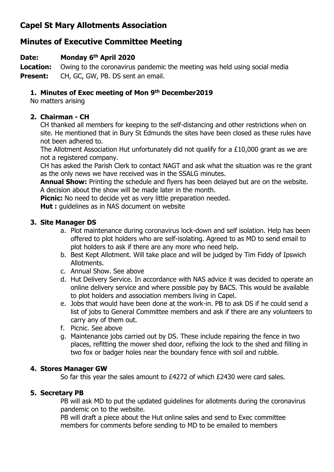# **Capel St Mary Allotments Association**

# **Minutes of Executive Committee Meeting**

### **Date: Monday 6 th April 2020**

**Location:** Owing to the coronavirus pandemic the meeting was held using social media **Present:** CH, GC, GW, PB. DS sent an email.

### **1. Minutes of Exec meeting of Mon 9 th December2019**

No matters arising

## **2. Chairman - CH**

CH thanked all members for keeping to the self-distancing and other restrictions when on site. He mentioned that in Bury St Edmunds the sites have been closed as these rules have not been adhered to.

The Allotment Association Hut unfortunately did not qualify for a £10,000 grant as we are not a registered company.

CH has asked the Parish Clerk to contact NAGT and ask what the situation was re the grant as the only news we have received was in the SSALG minutes.

**Annual Show:** Printing the schedule and flyers has been delayed but are on the website. A decision about the show will be made later in the month.

**Picnic:** No need to decide yet as very little preparation needed.

**Hut :** guidelines as in NAS document on website

#### **3. Site Manager DS**

- a. Plot maintenance during coronavirus lock-down and self isolation. Help has been offered to plot holders who are self-isolating. Agreed to as MD to send email to plot holders to ask if there are any more who need help.
- b. Best Kept Allotment. Will take place and will be judged by Tim Fiddy of Ipswich Allotments.
- c. Annual Show. See above
- d. Hut Delivery Service. In accordance with NAS advice it was decided to operate an online delivery service and where possible pay by BACS. This would be available to plot holders and association members living in Capel.
- e. Jobs that would have been done at the work-in. PB to ask DS if he could send a list of jobs to General Committee members and ask if there are any volunteers to carry any of them out.
- f. Picnic. See above
- g. Maintenance jobs carried out by DS. These include repairing the fence in two places, refitting the mower shed door, refixing the lock to the shed and filling in two fox or badger holes near the boundary fence with soil and rubble.

#### **4. Stores Manager GW**

So far this year the sales amount to £4272 of which £2430 were card sales.

#### **5. Secretary PB**

PB will ask MD to put the updated guidelines for allotments during the coronavirus pandemic on to the website.

PB will draft a piece about the Hut online sales and send to Exec committee members for comments before sending to MD to be emailed to members